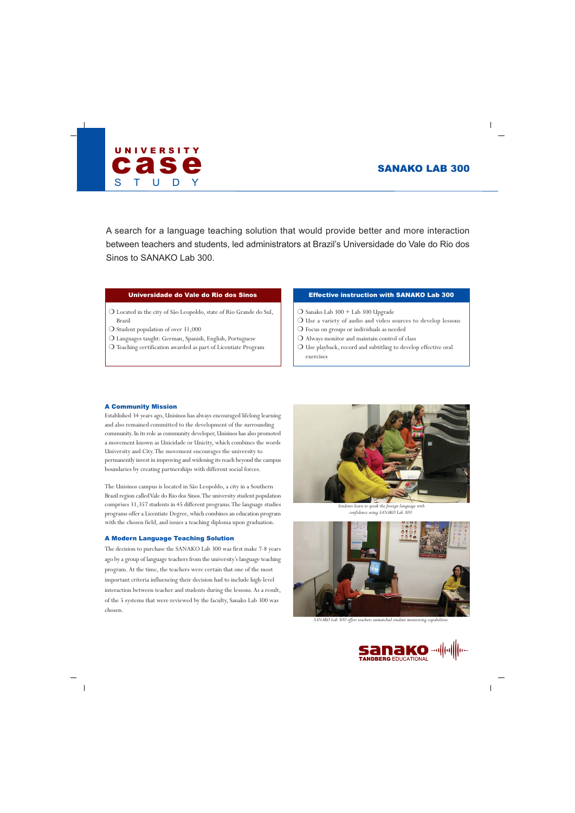# SANAKO LAB 300



A search for a language teaching solution that would provide better and more interaction between teachers and students, led administrators at Brazil's Universidade do Vale do Rio dos Sinos to SANAKO Lab 300.

# Universidade do Vale do Rio dos Sinos

- ❍ Located in the city of São Leopoldo, state of Rio Grande do Sul, Brazil
- ❍ Student population of over 31,000
- ❍ Languages taught: German, Spanish, English, Portuguese
- ❍ Teaching certification awarded as part of Licentiate Program

# Effective instruction with SANAKO Lab 300

- O Sanako Lab 300 + Lab 300 Upgrade
- ❍ Use a variety of audio and video sources to develop lessons
- ❍ Focus on groups or individuals as needed
- ❍ Always monitor and maintain control of class
- ❍ Use playback, record and subtitling to develop effective oral exercises

## A Community Mission

Established 34 years ago, Unisinos has always encouraged lifelong learning and also remained committed to the development of the surrounding community. In its role as community developer, Unisinos has also promoted a movement known as Unicidade or Unicity, which combines the words University and City. The movement encourages the university to permanently invest in improving and widening its reach beyond the campus boundaries by creating partnerships with different social forces.

The Unisinos campus is located in São Leopoldo, a city in a Southern Brazil region called Vale do Rio dos Sinos. The university student population comprises 31,357 students in 45 different programs. The language studies programs offer a Licentiate Degree, which combines an education program with the chosen field, and issues a teaching diploma upon graduation.

# A Modern Language Teaching Solution

The decision to purchase the SANAKO Lab 300 was first make 7-8 years ago by a group of language teachers from the university's language teaching program. At the time, the teachers were certain that one of the most important criteria influencing their decision had to include high-level interaction between teacher and students during the lessons. As a result, of the 5 systems that were reviewed by the faculty, Sanako Lab 300 was chosen.



*Students learn to speak the foreign language with confidence using SANAKO Lab 300.*



*SANAKO Lab 300 offers teachers unmatched student monitoring capabilities.*